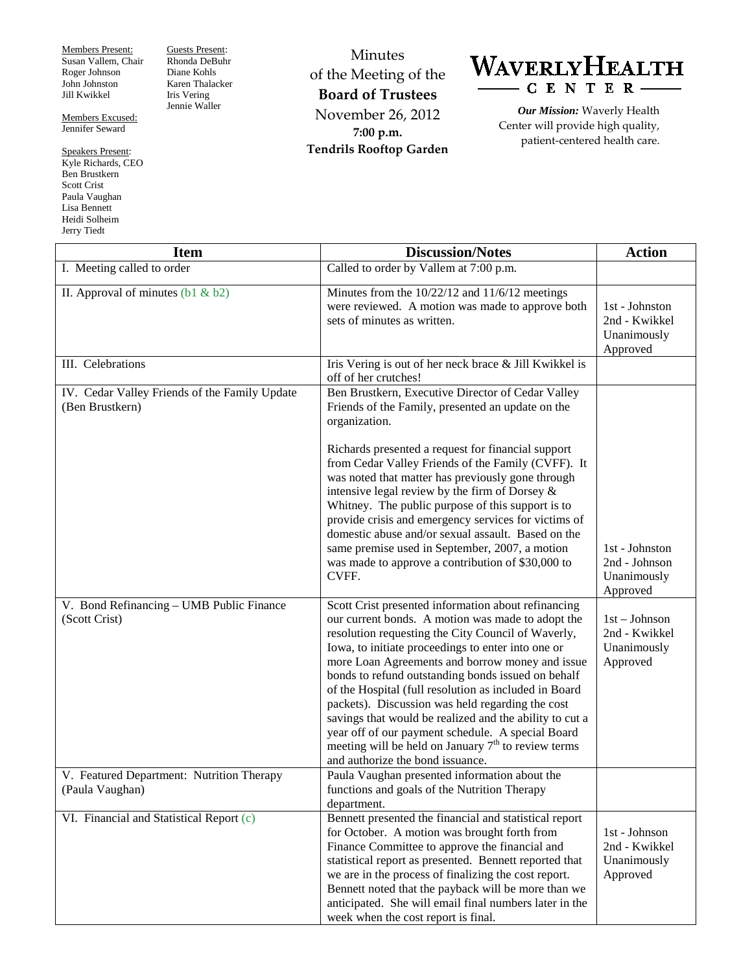Members Present: Susan Vallem, Chair Roger Johnson John Johnston Jill Kwikkel

Members Excused: Jennifer Seward

Speakers Present: Kyle Richards, CEO Ben Brustkern Scott Crist Paula Vaughan Lisa Bennett Heidi Solheim Jerry Tiedt

Guests Present: Rhonda DeBuhr Diane Kohls Karen Thalacker Iris Vering Jennie Waller

Minutes of the Meeting of the **Board of Trustees** November 26, 2012 **7:00 p.m. Tendrils Rooftop Garden**

## WAVERLYHEALTH CENTER-

*Our Mission:* Waverly Health Center will provide high quality, patient-centered health care.

| <b>Item</b>                                                      | <b>Discussion/Notes</b>                                                                                                                                                                                                                                                                                                                                                                                                                                                                                                                                                                                                                                 | <b>Action</b>                                               |
|------------------------------------------------------------------|---------------------------------------------------------------------------------------------------------------------------------------------------------------------------------------------------------------------------------------------------------------------------------------------------------------------------------------------------------------------------------------------------------------------------------------------------------------------------------------------------------------------------------------------------------------------------------------------------------------------------------------------------------|-------------------------------------------------------------|
| I. Meeting called to order                                       | Called to order by Vallem at 7:00 p.m.                                                                                                                                                                                                                                                                                                                                                                                                                                                                                                                                                                                                                  |                                                             |
| II. Approval of minutes $(b1 & b2)$                              | Minutes from the $10/22/12$ and $11/6/12$ meetings<br>were reviewed. A motion was made to approve both<br>sets of minutes as written.                                                                                                                                                                                                                                                                                                                                                                                                                                                                                                                   | 1st - Johnston<br>2nd - Kwikkel<br>Unanimously<br>Approved  |
| III. Celebrations                                                | Iris Vering is out of her neck brace & Jill Kwikkel is<br>off of her crutches!                                                                                                                                                                                                                                                                                                                                                                                                                                                                                                                                                                          |                                                             |
| IV. Cedar Valley Friends of the Family Update<br>(Ben Brustkern) | Ben Brustkern, Executive Director of Cedar Valley<br>Friends of the Family, presented an update on the<br>organization.                                                                                                                                                                                                                                                                                                                                                                                                                                                                                                                                 |                                                             |
|                                                                  | Richards presented a request for financial support<br>from Cedar Valley Friends of the Family (CVFF). It<br>was noted that matter has previously gone through<br>intensive legal review by the firm of Dorsey &<br>Whitney. The public purpose of this support is to<br>provide crisis and emergency services for victims of<br>domestic abuse and/or sexual assault. Based on the<br>same premise used in September, 2007, a motion<br>was made to approve a contribution of \$30,000 to<br>CVFF.                                                                                                                                                      | 1st - Johnston<br>2nd - Johnson<br>Unanimously<br>Approved  |
| V. Bond Refinancing - UMB Public Finance<br>(Scott Crist)        | Scott Crist presented information about refinancing<br>our current bonds. A motion was made to adopt the<br>resolution requesting the City Council of Waverly,<br>Iowa, to initiate proceedings to enter into one or<br>more Loan Agreements and borrow money and issue<br>bonds to refund outstanding bonds issued on behalf<br>of the Hospital (full resolution as included in Board<br>packets). Discussion was held regarding the cost<br>savings that would be realized and the ability to cut a<br>year off of our payment schedule. A special Board<br>meeting will be held on January $7th$ to review terms<br>and authorize the bond issuance. | $1st - Johnson$<br>2nd - Kwikkel<br>Unanimously<br>Approved |
| V. Featured Department: Nutrition Therapy<br>(Paula Vaughan)     | Paula Vaughan presented information about the<br>functions and goals of the Nutrition Therapy<br>department.                                                                                                                                                                                                                                                                                                                                                                                                                                                                                                                                            |                                                             |
| VI. Financial and Statistical Report (c)                         | Bennett presented the financial and statistical report<br>for October. A motion was brought forth from<br>Finance Committee to approve the financial and<br>statistical report as presented. Bennett reported that<br>we are in the process of finalizing the cost report.<br>Bennett noted that the payback will be more than we<br>anticipated. She will email final numbers later in the<br>week when the cost report is final.                                                                                                                                                                                                                      | 1st - Johnson<br>2nd - Kwikkel<br>Unanimously<br>Approved   |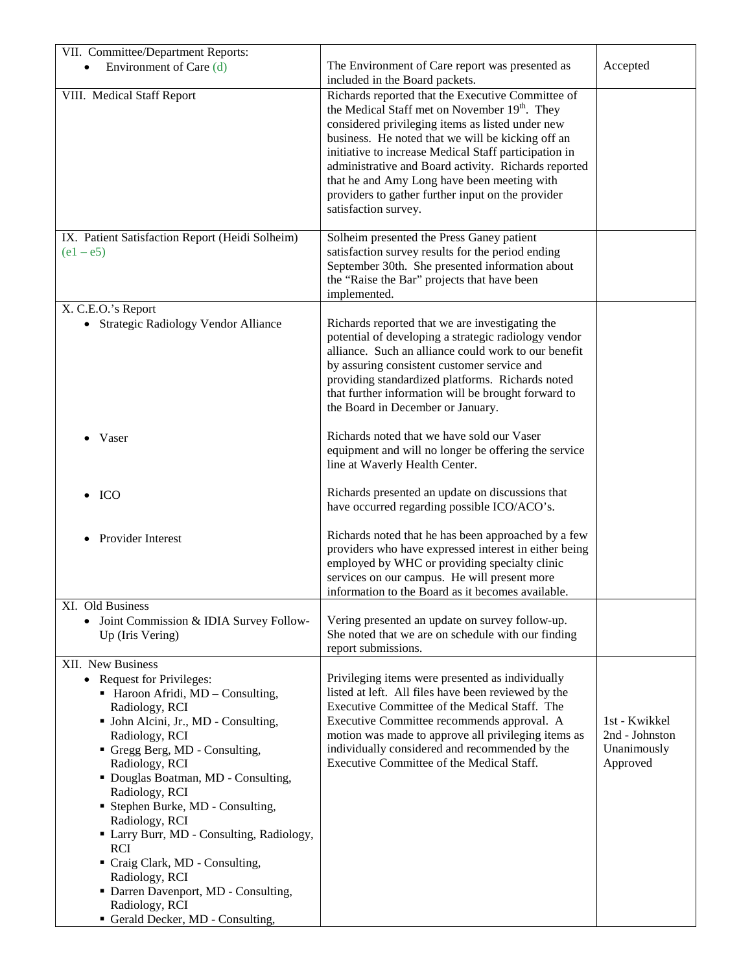| VII. Committee/Department Reports:                                                                                                                                                                                                                                                                                                                                                                                                                                                                                                     |                                                                                                                                                                                                                                                                                                                                                                                                                                                                      |                                                            |
|----------------------------------------------------------------------------------------------------------------------------------------------------------------------------------------------------------------------------------------------------------------------------------------------------------------------------------------------------------------------------------------------------------------------------------------------------------------------------------------------------------------------------------------|----------------------------------------------------------------------------------------------------------------------------------------------------------------------------------------------------------------------------------------------------------------------------------------------------------------------------------------------------------------------------------------------------------------------------------------------------------------------|------------------------------------------------------------|
| Environment of Care (d)                                                                                                                                                                                                                                                                                                                                                                                                                                                                                                                | The Environment of Care report was presented as<br>included in the Board packets.                                                                                                                                                                                                                                                                                                                                                                                    | Accepted                                                   |
| VIII. Medical Staff Report                                                                                                                                                                                                                                                                                                                                                                                                                                                                                                             | Richards reported that the Executive Committee of<br>the Medical Staff met on November 19 <sup>th</sup> . They<br>considered privileging items as listed under new<br>business. He noted that we will be kicking off an<br>initiative to increase Medical Staff participation in<br>administrative and Board activity. Richards reported<br>that he and Amy Long have been meeting with<br>providers to gather further input on the provider<br>satisfaction survey. |                                                            |
| IX. Patient Satisfaction Report (Heidi Solheim)<br>$(e1 - e5)$                                                                                                                                                                                                                                                                                                                                                                                                                                                                         | Solheim presented the Press Ganey patient<br>satisfaction survey results for the period ending<br>September 30th. She presented information about<br>the "Raise the Bar" projects that have been<br>implemented.                                                                                                                                                                                                                                                     |                                                            |
| X. C.E.O.'s Report<br>• Strategic Radiology Vendor Alliance                                                                                                                                                                                                                                                                                                                                                                                                                                                                            | Richards reported that we are investigating the<br>potential of developing a strategic radiology vendor<br>alliance. Such an alliance could work to our benefit<br>by assuring consistent customer service and<br>providing standardized platforms. Richards noted<br>that further information will be brought forward to<br>the Board in December or January.                                                                                                       |                                                            |
| Vaser                                                                                                                                                                                                                                                                                                                                                                                                                                                                                                                                  | Richards noted that we have sold our Vaser<br>equipment and will no longer be offering the service<br>line at Waverly Health Center.                                                                                                                                                                                                                                                                                                                                 |                                                            |
| ICO                                                                                                                                                                                                                                                                                                                                                                                                                                                                                                                                    | Richards presented an update on discussions that<br>have occurred regarding possible ICO/ACO's.                                                                                                                                                                                                                                                                                                                                                                      |                                                            |
| Provider Interest                                                                                                                                                                                                                                                                                                                                                                                                                                                                                                                      | Richards noted that he has been approached by a few<br>providers who have expressed interest in either being<br>employed by WHC or providing specialty clinic<br>services on our campus. He will present more<br>information to the Board as it becomes available.                                                                                                                                                                                                   |                                                            |
| XI. Old Business<br>Joint Commission & IDIA Survey Follow-<br>$\bullet$<br>Up (Iris Vering)                                                                                                                                                                                                                                                                                                                                                                                                                                            | Vering presented an update on survey follow-up.<br>She noted that we are on schedule with our finding<br>report submissions.                                                                                                                                                                                                                                                                                                                                         |                                                            |
| XII. New Business<br>• Request for Privileges:<br>• Haroon Afridi, MD - Consulting,<br>Radiology, RCI<br>· John Alcini, Jr., MD - Consulting,<br>Radiology, RCI<br>Gregg Berg, MD - Consulting,<br>Radiology, RCI<br>Douglas Boatman, MD - Consulting,<br>Radiology, RCI<br>Stephen Burke, MD - Consulting,<br>Radiology, RCI<br>Larry Burr, MD - Consulting, Radiology,<br><b>RCI</b><br>Craig Clark, MD - Consulting,<br>Radiology, RCI<br>• Darren Davenport, MD - Consulting,<br>Radiology, RCI<br>Gerald Decker, MD - Consulting, | Privileging items were presented as individually<br>listed at left. All files have been reviewed by the<br>Executive Committee of the Medical Staff. The<br>Executive Committee recommends approval. A<br>motion was made to approve all privileging items as<br>individually considered and recommended by the<br>Executive Committee of the Medical Staff.                                                                                                         | 1st - Kwikkel<br>2nd - Johnston<br>Unanimously<br>Approved |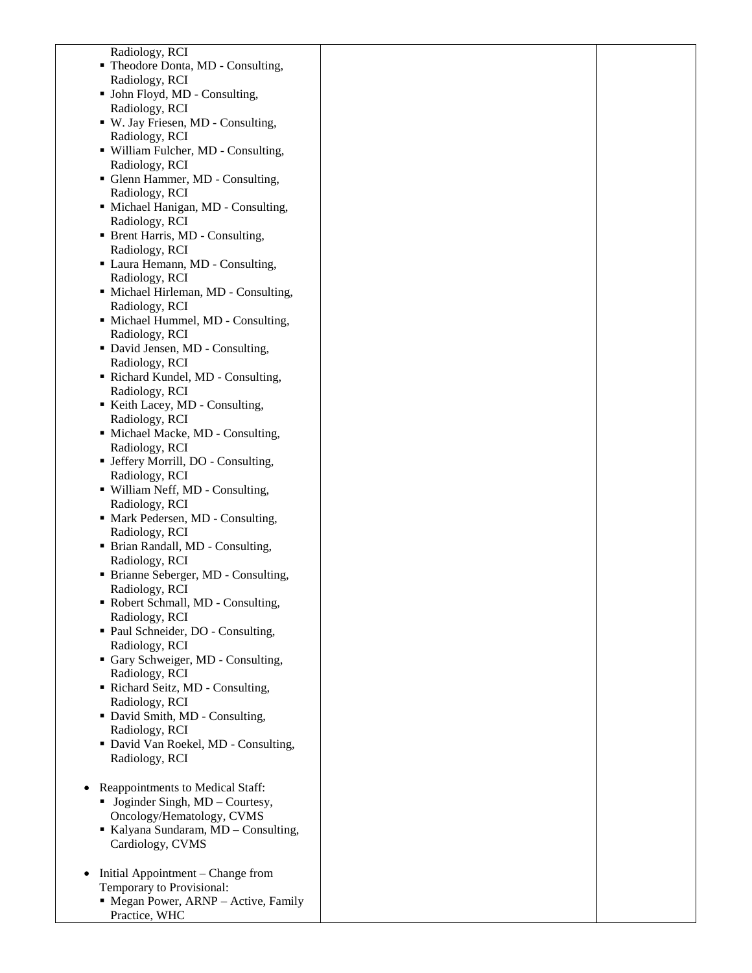Radiology, RCI

- Theodore Donta, MD Consulting, Radiology, RCI
- John Floyd, MD Consulting, Radiology, RCI
- W. Jay Friesen, MD Consulting, Radiology, RCI
- William Fulcher, MD Consulting, Radiology, RCI
- Glenn Hammer, MD Consulting, Radiology, RCI
- Michael Hanigan, MD Consulting, Radiology, RCI
- Brent Harris, MD Consulting, Radiology, RCI
- Laura Hemann, MD Consulting, Radiology, RCI
- Michael Hirleman, MD Consulting, Radiology, RCI
- Michael Hummel, MD Consulting, Radiology, RCI
- David Jensen, MD Consulting, Radiology, RCI
- Richard Kundel, MD Consulting, Radiology, RCI
- Keith Lacey, MD Consulting, Radiology, RCI
- Michael Macke, MD Consulting, Radiology, RCI
- Jeffery Morrill, DO Consulting, Radiology, RCI
- William Neff, MD Consulting, Radiology, RCI
- Mark Pedersen, MD Consulting, Radiology, RCI
- Brian Randall, MD Consulting, Radiology, RCI
- Brianne Seberger, MD Consulting, Radiology, RCI
- Robert Schmall, MD Consulting, Radiology, RCI
- Paul Schneider, DO Consulting, Radiology, RCI
- Gary Schweiger, MD Consulting, Radiology, RCI
- Richard Seitz, MD Consulting, Radiology, RCI
- David Smith, MD Consulting, Radiology, RCI
- David Van Roekel, MD Consulting, Radiology, RCI
- Reappointments to Medical Staff:
	- Joginder Singh, MD Courtesy, Oncology/Hematology, CVMS
	- Kalyana Sundaram, MD Consulting, Cardiology, CVMS
- Initial Appointment Change from Temporary to Provisional:
	- Megan Power, ARNP Active, Family Practice, WHC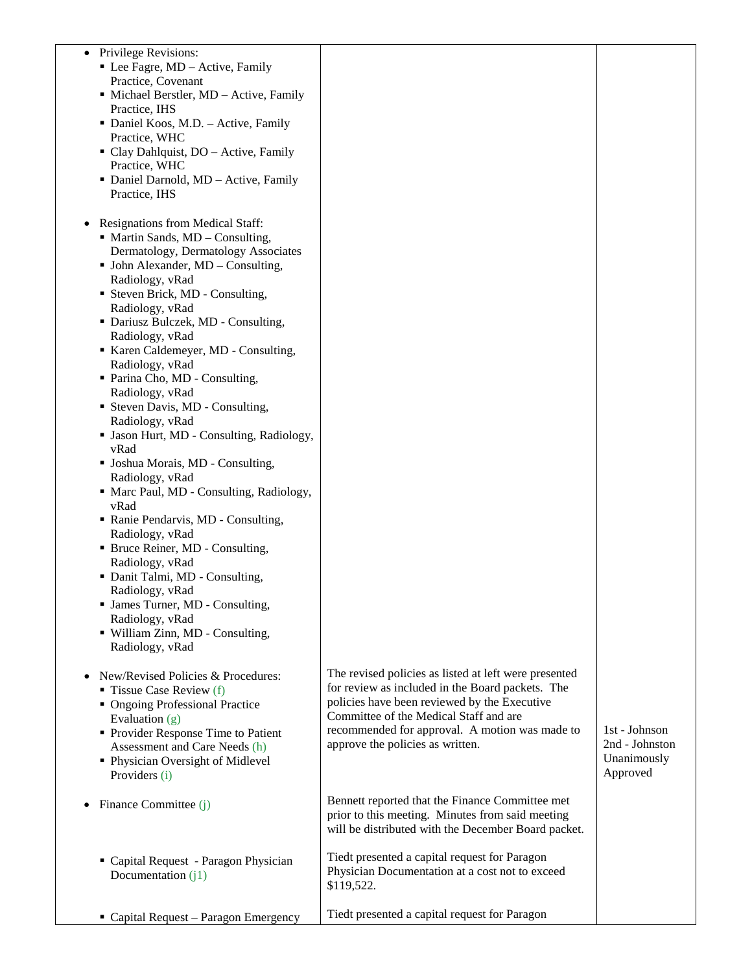| • Privilege Revisions:<br>• Lee Fagre, MD – Active, Family<br>Practice, Covenant<br>• Michael Berstler, MD - Active, Family<br>Practice, IHS<br>• Daniel Koos, M.D. - Active, Family<br>Practice, WHC<br>• Clay Dahlquist, DO - Active, Family<br>Practice, WHC<br>• Daniel Darnold, MD - Active, Family<br>Practice, IHS |                                                                                                                                                                                                                                                                                           |                                                            |
|---------------------------------------------------------------------------------------------------------------------------------------------------------------------------------------------------------------------------------------------------------------------------------------------------------------------------|-------------------------------------------------------------------------------------------------------------------------------------------------------------------------------------------------------------------------------------------------------------------------------------------|------------------------------------------------------------|
| <b>Resignations from Medical Staff:</b><br>٠<br>• Martin Sands, MD – Consulting,<br>Dermatology, Dermatology Associates<br>$\blacksquare$ John Alexander, MD – Consulting,<br>Radiology, vRad<br>• Steven Brick, MD - Consulting,<br>Radiology, vRad<br>• Dariusz Bulczek, MD - Consulting,                               |                                                                                                                                                                                                                                                                                           |                                                            |
| Radiology, vRad<br>Karen Caldemeyer, MD - Consulting,<br>Radiology, vRad<br>• Parina Cho, MD - Consulting,<br>Radiology, vRad<br>• Steven Davis, MD - Consulting,<br>Radiology, vRad                                                                                                                                      |                                                                                                                                                                                                                                                                                           |                                                            |
| · Jason Hurt, MD - Consulting, Radiology,<br>vRad<br>• Joshua Morais, MD - Consulting,<br>Radiology, vRad<br>• Marc Paul, MD - Consulting, Radiology,<br>vRad<br>• Ranie Pendarvis, MD - Consulting,                                                                                                                      |                                                                                                                                                                                                                                                                                           |                                                            |
| Radiology, vRad<br>• Bruce Reiner, MD - Consulting,<br>Radiology, vRad<br>• Danit Talmi, MD - Consulting,<br>Radiology, vRad<br>• James Turner, MD - Consulting,                                                                                                                                                          |                                                                                                                                                                                                                                                                                           |                                                            |
| Radiology, vRad<br>· William Zinn, MD - Consulting,<br>Radiology, vRad                                                                                                                                                                                                                                                    |                                                                                                                                                                                                                                                                                           |                                                            |
| New/Revised Policies & Procedures:<br>$\blacksquare$ Tissue Case Review (f)<br>• Ongoing Professional Practice<br>Evaluation $(g)$<br>• Provider Response Time to Patient<br>Assessment and Care Needs (h)<br>• Physician Oversight of Midlevel<br>Providers (i)                                                          | The revised policies as listed at left were presented<br>for review as included in the Board packets. The<br>policies have been reviewed by the Executive<br>Committee of the Medical Staff and are<br>recommended for approval. A motion was made to<br>approve the policies as written. | 1st - Johnson<br>2nd - Johnston<br>Unanimously<br>Approved |
| Finance Committee (j)<br>$\bullet$                                                                                                                                                                                                                                                                                        | Bennett reported that the Finance Committee met<br>prior to this meeting. Minutes from said meeting<br>will be distributed with the December Board packet.                                                                                                                                |                                                            |
| " Capital Request - Paragon Physician<br>Documentation $(i)$                                                                                                                                                                                                                                                              | Tiedt presented a capital request for Paragon<br>Physician Documentation at a cost not to exceed<br>\$119,522.                                                                                                                                                                            |                                                            |
| • Capital Request - Paragon Emergency                                                                                                                                                                                                                                                                                     | Tiedt presented a capital request for Paragon                                                                                                                                                                                                                                             |                                                            |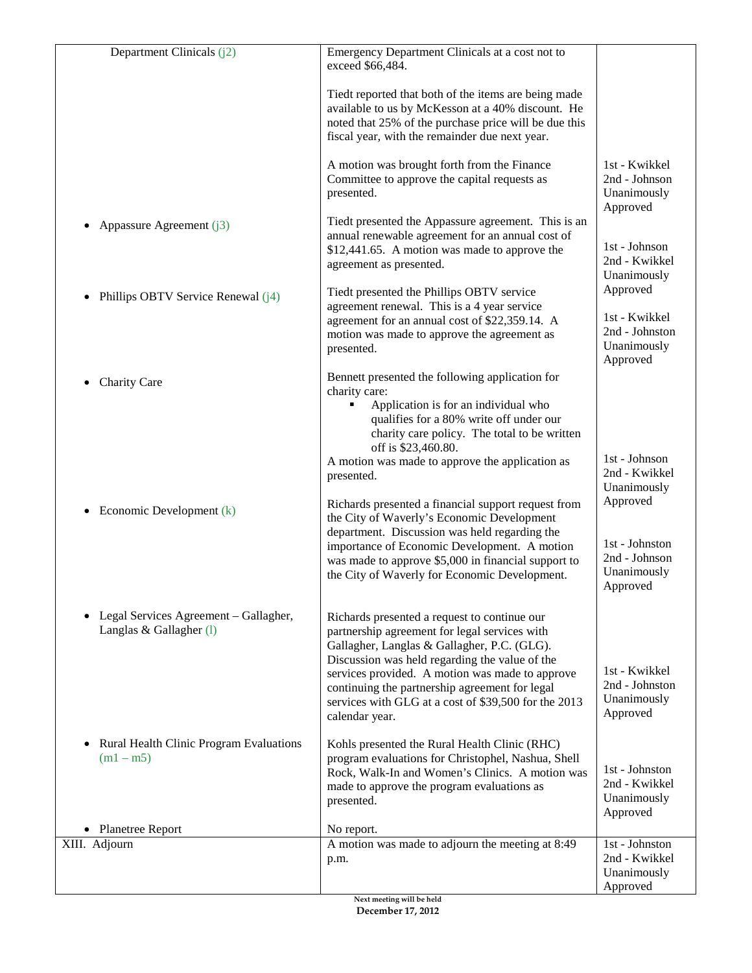| Department Clinicals (j2)                                        | Emergency Department Clinicals at a cost not to<br>exceed \$66,484.                                                                                                                                                                                                                                                                                                           |                                                                        |
|------------------------------------------------------------------|-------------------------------------------------------------------------------------------------------------------------------------------------------------------------------------------------------------------------------------------------------------------------------------------------------------------------------------------------------------------------------|------------------------------------------------------------------------|
|                                                                  | Tiedt reported that both of the items are being made<br>available to us by McKesson at a 40% discount. He<br>noted that 25% of the purchase price will be due this<br>fiscal year, with the remainder due next year.                                                                                                                                                          |                                                                        |
|                                                                  | A motion was brought forth from the Finance<br>Committee to approve the capital requests as<br>presented.                                                                                                                                                                                                                                                                     | 1st - Kwikkel<br>2nd - Johnson<br>Unanimously<br>Approved              |
| Appassure Agreement (j3)                                         | Tiedt presented the Appassure agreement. This is an<br>annual renewable agreement for an annual cost of<br>\$12,441.65. A motion was made to approve the<br>agreement as presented.                                                                                                                                                                                           | 1st - Johnson<br>2nd - Kwikkel<br>Unanimously                          |
| Phillips OBTV Service Renewal (j4)                               | Tiedt presented the Phillips OBTV service<br>agreement renewal. This is a 4 year service<br>agreement for an annual cost of \$22,359.14. A<br>motion was made to approve the agreement as<br>presented.                                                                                                                                                                       | Approved<br>1st - Kwikkel<br>2nd - Johnston<br>Unanimously<br>Approved |
| <b>Charity Care</b>                                              | Bennett presented the following application for<br>charity care:<br>Application is for an individual who<br>٠<br>qualifies for a 80% write off under our<br>charity care policy. The total to be written<br>off is \$23,460.80.                                                                                                                                               |                                                                        |
|                                                                  | A motion was made to approve the application as<br>presented.                                                                                                                                                                                                                                                                                                                 | 1st - Johnson<br>2nd - Kwikkel<br>Unanimously                          |
| Economic Development (k)                                         | Richards presented a financial support request from<br>the City of Waverly's Economic Development<br>department. Discussion was held regarding the<br>importance of Economic Development. A motion<br>was made to approve \$5,000 in financial support to<br>the City of Waverly for Economic Development.                                                                    | Approved<br>1st - Johnston<br>2nd - Johnson<br>Unanimously<br>Approved |
| Legal Services Agreement - Gallagher,<br>Langlas & Gallagher (1) | Richards presented a request to continue our<br>partnership agreement for legal services with<br>Gallagher, Langlas & Gallagher, P.C. (GLG).<br>Discussion was held regarding the value of the<br>services provided. A motion was made to approve<br>continuing the partnership agreement for legal<br>services with GLG at a cost of \$39,500 for the 2013<br>calendar year. | 1st - Kwikkel<br>2nd - Johnston<br>Unanimously<br>Approved             |
| <b>Rural Health Clinic Program Evaluations</b><br>$(m1 - m5)$    | Kohls presented the Rural Health Clinic (RHC)<br>program evaluations for Christophel, Nashua, Shell<br>Rock, Walk-In and Women's Clinics. A motion was<br>made to approve the program evaluations as<br>presented.                                                                                                                                                            | 1st - Johnston<br>2nd - Kwikkel<br>Unanimously<br>Approved             |
| • Planetree Report                                               | No report.                                                                                                                                                                                                                                                                                                                                                                    |                                                                        |
| XIII. Adjourn                                                    | A motion was made to adjourn the meeting at 8:49<br>p.m.                                                                                                                                                                                                                                                                                                                      | 1st - Johnston<br>2nd - Kwikkel<br>Unanimously<br>Approved             |
|                                                                  |                                                                                                                                                                                                                                                                                                                                                                               |                                                                        |